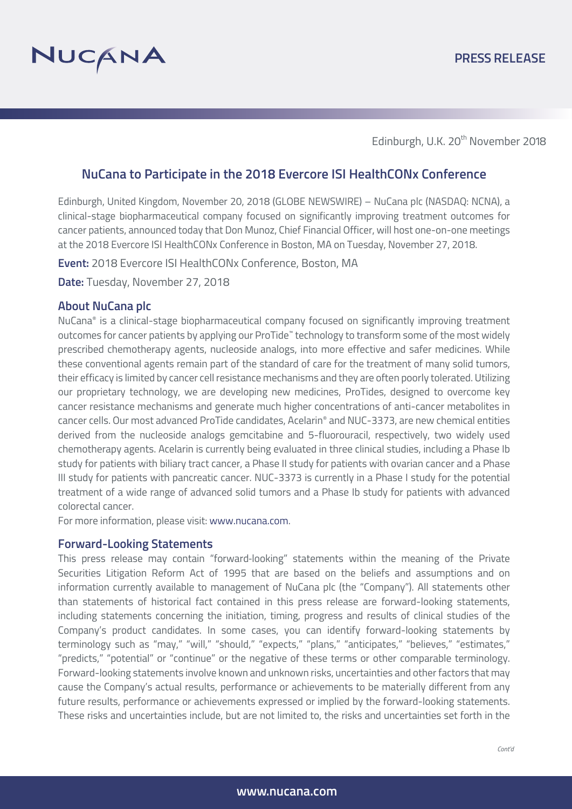

Edinburgh, U.K. 20<sup>th</sup> November 2018

# **NuCana to Participate in the 2018 Evercore ISI HealthCONx Conference**

Edinburgh, United Kingdom, November 20, 2018 (GLOBE NEWSWIRE) – NuCana plc (NASDAQ: NCNA), a clinical-stage biopharmaceutical company focused on significantly improving treatment outcomes for cancer patients, announced today that Don Munoz, Chief Financial Officer, will host one-on-one meetings at the 2018 Evercore ISI HealthCONx Conference in Boston, MA on Tuesday, November 27, 2018.

**Event:** 2018 Evercore ISI HealthCONx Conference, Boston, MA

**Date:** Tuesday, November 27, 2018

### **About NuCana plc**

NuCana® is a clinical-stage biopharmaceutical company focused on significantly improving treatment outcomes for cancer patients by applying our ProTide™ technology to transform some of the most widely prescribed chemotherapy agents, nucleoside analogs, into more effective and safer medicines. While these conventional agents remain part of the standard of care for the treatment of many solid tumors, their efficacy is limited by cancer cell resistance mechanisms and they are often poorly tolerated. Utilizing our proprietary technology, we are developing new medicines, ProTides, designed to overcome key cancer resistance mechanisms and generate much higher concentrations of anti-cancer metabolites in cancer cells. Our most advanced ProTide candidates, Acelarin® and NUC-3373, are new chemical entities derived from the nucleoside analogs gemcitabine and 5-fluorouracil, respectively, two widely used chemotherapy agents. Acelarin is currently being evaluated in three clinical studies, including a Phase Ib study for patients with biliary tract cancer, a Phase II study for patients with ovarian cancer and a Phase III study for patients with pancreatic cancer. NUC-3373 is currently in a Phase I study for the potential treatment of a wide range of advanced solid tumors and a Phase Ib study for patients with advanced colorectal cancer.

For more information, please visit: www.nucana.com.

#### **Forward-Looking Statements**

This press release may contain "forward-looking" statements within the meaning of the Private Securities Litigation Reform Act of 1995 that are based on the beliefs and assumptions and on information currently available to management of NuCana plc (the "Company"). All statements other than statements of historical fact contained in this press release are forward-looking statements, including statements concerning the initiation, timing, progress and results of clinical studies of the Company's product candidates. In some cases, you can identify forward-looking statements by terminology such as "may," "will," "should," "expects," "plans," "anticipates," "believes," "estimates," "predicts," "potential" or "continue" or the negative of these terms or other comparable terminology. Forward-looking statements involve known and unknown risks, uncertainties and other factors that may cause the Company's actual results, performance or achievements to be materially different from any future results, performance or achievements expressed or implied by the forward-looking statements. These risks and uncertainties include, but are not limited to, the risks and uncertainties set forth in the